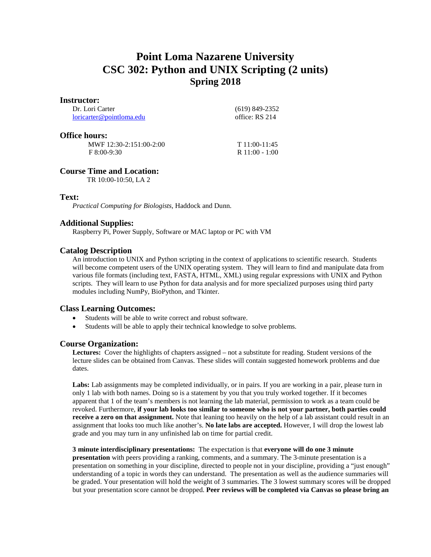# **Point Loma Nazarene University CSC 302: Python and UNIX Scripting (2 units) Spring 2018**

#### **Instructor:**

Dr. Lori Carter [loricarter@pointloma.edu](mailto:loricarter@pointloma.edu)  (619) 849-2352 office: RS 214

#### **Office hours:**

 MWF 12:30-2:151:00-2:00 F 8:00-9:30

T 11:00-11:45 R 11:00 - 1:00

## **Course Time and Location:**

TR 10:00-10:50, LA 2

## **Text:**

*Practical Computing for Biologists,* Haddock and Dunn.

## **Additional Supplies:**

Raspberry Pi, Power Supply, Software or MAC laptop or PC with VM

## **Catalog Description**

An introduction to UNIX and Python scripting in the context of applications to scientific research. Students will become competent users of the UNIX operating system. They will learn to find and manipulate data from various file formats (including text, FASTA, HTML, XML) using regular expressions with UNIX and Python scripts. They will learn to use Python for data analysis and for more specialized purposes using third party modules including NumPy, BioPython, and Tkinter.

## **Class Learning Outcomes:**

- Students will be able to write correct and robust software.
- Students will be able to apply their technical knowledge to solve problems.

## **Course Organization:**

**Lectures:** Cover the highlights of chapters assigned – not a substitute for reading. Student versions of the lecture slides can be obtained from Canvas. These slides will contain suggested homework problems and due dates.

**Labs:** Lab assignments may be completed individually, or in pairs. If you are working in a pair, please turn in only 1 lab with both names. Doing so is a statement by you that you truly worked together. If it becomes apparent that 1 of the team's members is not learning the lab material, permission to work as a team could be revoked. Furthermore, **if your lab looks too similar to someone who is not your partner, both parties could receive a zero on that assignment.** Note that leaning too heavily on the help of a lab assistant could result in an assignment that looks too much like another's. **No late labs are accepted.** However, I will drop the lowest lab grade and you may turn in any unfinished lab on time for partial credit.

#### **3 minute interdisciplinary presentations:** The expectation is that **everyone will do one 3 minute**

**presentation** with peers providing a ranking, comments, and a summary. The 3-minute presentation is a presentation on something in your discipline, directed to people not in your discipline, providing a "just enough" understanding of a topic in words they can understand. The presentation as well as the audience summaries will be graded. Your presentation will hold the weight of 3 summaries. The 3 lowest summary scores will be dropped but your presentation score cannot be dropped. **Peer reviews will be completed via Canvas so please bring an**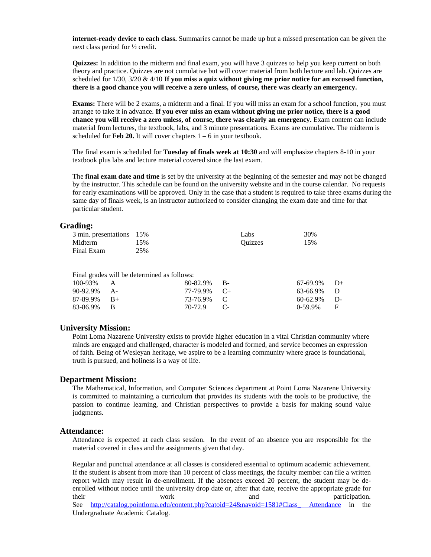**internet-ready device to each class.** Summaries cannot be made up but a missed presentation can be given the next class period for ½ credit.

**Quizzes:** In addition to the midterm and final exam, you will have 3 quizzes to help you keep current on both theory and practice. Quizzes are not cumulative but will cover material from both lecture and lab. Quizzes are scheduled for 1/30, 3/20 & 4/10 **If you miss a quiz without giving me prior notice for an excused function, there is a good chance you will receive a zero unless, of course, there was clearly an emergency.**

**Exams:** There will be 2 exams, a midterm and a final. If you will miss an exam for a school function, you must arrange to take it in advance. **If you ever miss an exam without giving me prior notice, there is a good chance you will receive a zero unless, of course, there was clearly an emergency.** Exam content can include material from lectures, the textbook, labs, and 3 minute presentations. Exams are cumulative**.** The midterm is scheduled for **Feb 20.** It will cover chapters  $1 - 6$  in your textbook.

The final exam is scheduled for **Tuesday of finals week at 10:30** and will emphasize chapters 8-10 in your textbook plus labs and lecture material covered since the last exam.

The **final exam date and time** is set by the university at the beginning of the semester and may not be changed by the instructor. This schedule can be found on the university website and in the course calendar. No requests for early examinations will be approved. Only in the case that a student is required to take three exams during the same day of finals week, is an instructor authorized to consider changing the exam date and time for that particular student.

#### **Grading:**

| 3 min. presentations 15% |     | Labs    | 30% |
|--------------------------|-----|---------|-----|
| Midterm                  | 15% | Ouizzes | 15% |
| Final Exam               | 25% |         |     |

Final grades will be determined as follows:

| 67-69.9% D+<br>63-66.9% D<br>$60-62.9\%$ D-<br>$0-59.9\%$ F |
|-------------------------------------------------------------|

#### **University Mission:**

Point Loma Nazarene University exists to provide higher education in a vital Christian community where minds are engaged and challenged, character is modeled and formed, and service becomes an expression of faith. Being of Wesleyan heritage, we aspire to be a learning community where grace is foundational, truth is pursued, and holiness is a way of life.

#### **Department Mission:**

The Mathematical, Information, and Computer Sciences department at Point Loma Nazarene University is committed to maintaining a curriculum that provides its students with the tools to be productive, the passion to continue learning, and Christian perspectives to provide a basis for making sound value judgments.

#### **Attendance:**

Attendance is expected at each class session. In the event of an absence you are responsible for the material covered in class and the assignments given that day.

Regular and punctual attendance at all classes is considered essential to optimum academic achievement. If the student is absent from more than 10 percent of class meetings, the faculty member can file a written report which may result in de-enrollment. If the absences exceed 20 percent, the student may be deenrolled without notice until the university drop date or, after that date, receive the appropriate grade for their work and participation. See http://catalog.pointloma.edu/content.php?catoid=24&navoid=1581#Class Attendance in the Undergraduate Academic Catalog.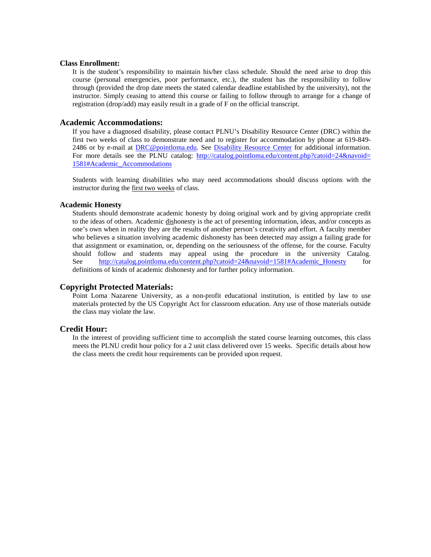#### **Class Enrollment:**

It is the student's responsibility to maintain his/her class schedule. Should the need arise to drop this course (personal emergencies, poor performance, etc.), the student has the responsibility to follow through (provided the drop date meets the stated calendar deadline established by the university), not the instructor. Simply ceasing to attend this course or failing to follow through to arrange for a change of registration (drop/add) may easily result in a grade of F on the official transcript.

#### **Academic Accommodations:**

If you have a diagnosed disability, please contact PLNU's Disability Resource Center (DRC) within the first two weeks of class to demonstrate need and to register for accommodation by phone at 619-849- 2486 or by e-mail at [DRC@pointloma.edu.](mailto:DRC@pointloma.edu) See [Disability Resource Center](http://www.pointloma.edu/experience/offices/administrative-offices/academic-advising-office/disability-resource-center) for additional information. For more details see the PLNU catalog: [http://catalog.pointloma.edu/content.php?catoid=24&navoid=](http://catalog.pointloma.edu/content.php?catoid=24&navoid=1581#Academic_Accommodations) [1581#Academic\\_Accommodations](http://catalog.pointloma.edu/content.php?catoid=24&navoid=1581#Academic_Accommodations) 

Students with learning disabilities who may need accommodations should discuss options with the instructor during the first two weeks of class.

#### **Academic Honesty**

Students should demonstrate academic honesty by doing original work and by giving appropriate credit to the ideas of others. Academic dishonesty is the act of presenting information, ideas, and/or concepts as one's own when in reality they are the results of another person's creativity and effort. A faculty member who believes a situation involving academic dishonesty has been detected may assign a failing grade for that assignment or examination, or, depending on the seriousness of the offense, for the course. Faculty should follow and students may appeal using the procedure in the university Catalog. See [http://catalog.pointloma.edu/content.php?catoid=24&navoid=1581#Academic\\_Honesty](http://catalog.pointloma.edu/content.php?catoid=24&navoid=1581#Academic_Honesty) for definitions of kinds of academic dishonesty and for further policy information.

#### **Copyright Protected Materials:**

Point Loma Nazarene University, as a non-profit educational institution, is entitled by law to use materials protected by the US Copyright Act for classroom education. Any use of those materials outside the class may violate the law.

#### **Credit Hour:**

In the interest of providing sufficient time to accomplish the stated course learning outcomes, this class meets the PLNU credit hour policy for a 2 unit class delivered over 15 weeks. Specific details about how the class meets the credit hour requirements can be provided upon request.